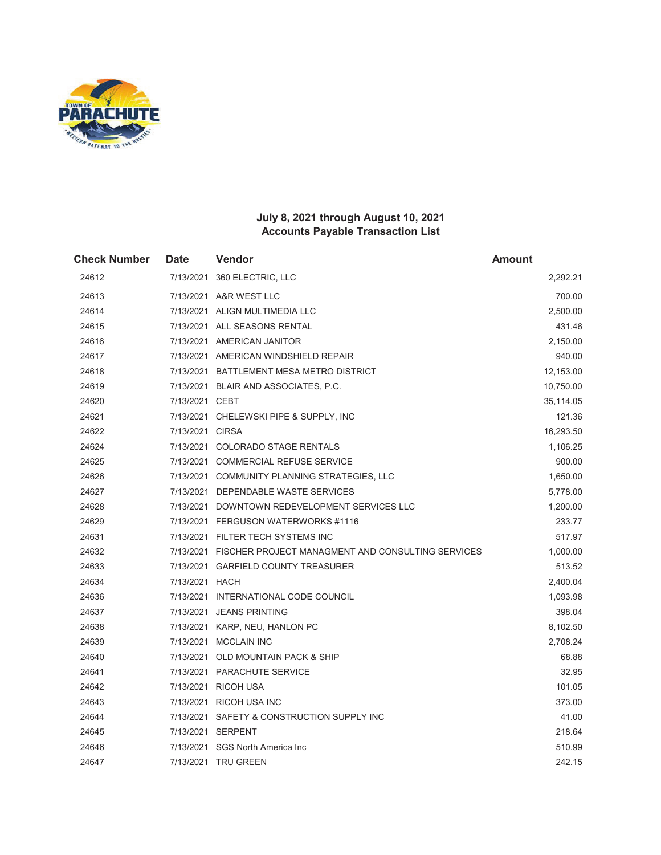

| <b>Check Number</b> | <b>Date</b>     | Vendor                                                      | <b>Amount</b> |
|---------------------|-----------------|-------------------------------------------------------------|---------------|
| 24612               |                 | 7/13/2021 360 ELECTRIC, LLC                                 | 2,292.21      |
| 24613               |                 | 7/13/2021 A&R WEST LLC                                      | 700.00        |
| 24614               |                 | 7/13/2021 ALIGN MULTIMEDIA LLC                              | 2,500.00      |
| 24615               |                 | 7/13/2021 ALL SEASONS RENTAL                                | 431.46        |
| 24616               |                 | 7/13/2021 AMERICAN JANITOR                                  | 2,150.00      |
| 24617               |                 | 7/13/2021 AMERICAN WINDSHIELD REPAIR                        | 940.00        |
| 24618               |                 | 7/13/2021 BATTLEMENT MESA METRO DISTRICT                    | 12,153.00     |
| 24619               |                 | 7/13/2021 BLAIR AND ASSOCIATES, P.C.                        | 10,750.00     |
| 24620               | 7/13/2021 CEBT  |                                                             | 35,114.05     |
| 24621               |                 | 7/13/2021 CHELEWSKI PIPE & SUPPLY, INC                      | 121.36        |
| 24622               | 7/13/2021 CIRSA |                                                             | 16,293.50     |
| 24624               |                 | 7/13/2021 COLORADO STAGE RENTALS                            | 1,106.25      |
| 24625               |                 | 7/13/2021 COMMERCIAL REFUSE SERVICE                         | 900.00        |
| 24626               |                 | 7/13/2021 COMMUNITY PLANNING STRATEGIES, LLC                | 1,650.00      |
| 24627               |                 | 7/13/2021 DEPENDABLE WASTE SERVICES                         | 5,778.00      |
| 24628               |                 | 7/13/2021 DOWNTOWN REDEVELOPMENT SERVICES LLC               | 1,200.00      |
| 24629               |                 | 7/13/2021 FERGUSON WATERWORKS #1116                         | 233.77        |
| 24631               |                 | 7/13/2021 FILTER TECH SYSTEMS INC                           | 517.97        |
| 24632               |                 | 7/13/2021 FISCHER PROJECT MANAGMENT AND CONSULTING SERVICES | 1,000.00      |
| 24633               |                 | 7/13/2021 GARFIELD COUNTY TREASURER                         | 513.52        |
| 24634               | 7/13/2021 HACH  |                                                             | 2,400.04      |
| 24636               |                 | 7/13/2021 INTERNATIONAL CODE COUNCIL                        | 1,093.98      |
| 24637               |                 | 7/13/2021 JEANS PRINTING                                    | 398.04        |
| 24638               |                 | 7/13/2021 KARP, NEU, HANLON PC                              | 8,102.50      |
| 24639               |                 | 7/13/2021 MCCLAIN INC                                       | 2,708.24      |
| 24640               |                 | 7/13/2021 OLD MOUNTAIN PACK & SHIP                          | 68.88         |
| 24641               |                 | 7/13/2021 PARACHUTE SERVICE                                 | 32.95         |
| 24642               |                 | 7/13/2021 RICOH USA                                         | 101.05        |
| 24643               |                 | 7/13/2021 RICOH USA INC                                     | 373.00        |
| 24644               |                 | 7/13/2021 SAFETY & CONSTRUCTION SUPPLY INC                  | 41.00         |
| 24645               |                 | 7/13/2021 SERPENT                                           | 218.64        |
| 24646               |                 | 7/13/2021 SGS North America Inc                             | 510.99        |
| 24647               |                 | 7/13/2021 TRU GREEN                                         | 242.15        |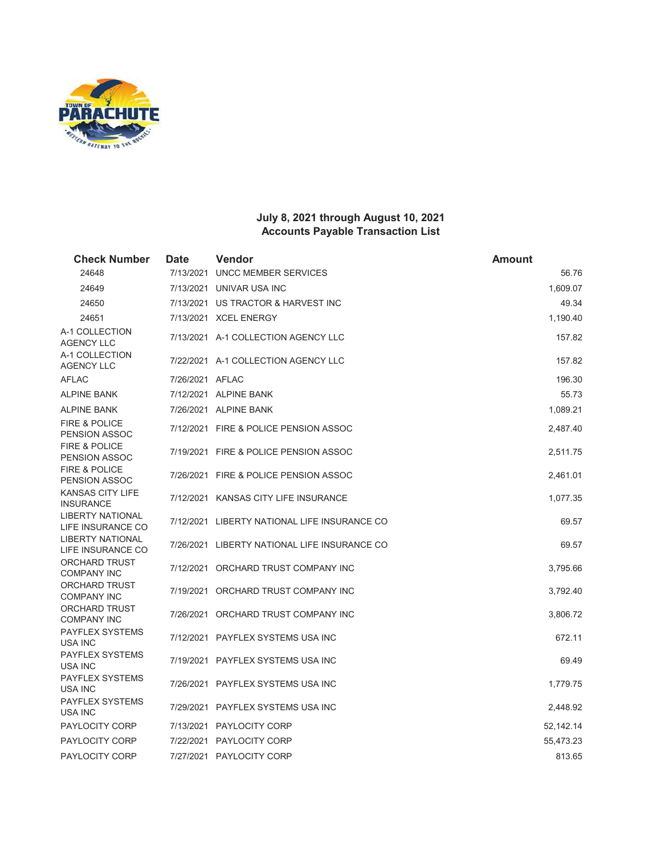

| <b>Check Number</b>                              | <b>Date</b>     | Vendor                                       | <b>Amount</b> |
|--------------------------------------------------|-----------------|----------------------------------------------|---------------|
| 24648                                            | 7/13/2021       | UNCC MEMBER SERVICES                         | 56.76         |
| 24649                                            |                 | 7/13/2021 UNIVAR USA INC                     | 1,609.07      |
| 24650                                            |                 | 7/13/2021 US TRACTOR & HARVEST INC           | 49.34         |
| 24651                                            |                 | 7/13/2021 XCEL ENERGY                        | 1,190.40      |
| A-1 COLLECTION<br><b>AGENCY LLC</b>              |                 | 7/13/2021 A-1 COLLECTION AGENCY LLC          | 157.82        |
| A-1 COLLECTION<br><b>AGENCY LLC</b>              |                 | 7/22/2021 A-1 COLLECTION AGENCY LLC          | 157.82        |
| <b>AFLAC</b>                                     | 7/26/2021 AFLAC |                                              | 196.30        |
| <b>ALPINE BANK</b>                               |                 | 7/12/2021 ALPINE BANK                        | 55.73         |
| <b>ALPINE BANK</b>                               |                 | 7/26/2021 ALPINE BANK                        | 1,089.21      |
| <b>FIRE &amp; POLICE</b><br><b>PENSION ASSOC</b> |                 | 7/12/2021 FIRE & POLICE PENSION ASSOC        | 2,487.40      |
| <b>FIRE &amp; POLICE</b><br><b>PENSION ASSOC</b> |                 | 7/19/2021 FIRE & POLICE PENSION ASSOC        | 2,511.75      |
| <b>FIRE &amp; POLICE</b><br><b>PENSION ASSOC</b> |                 | 7/26/2021 FIRE & POLICE PENSION ASSOC        | 2,461.01      |
| <b>KANSAS CITY LIFE</b><br><b>INSURANCE</b>      |                 | 7/12/2021 KANSAS CITY LIFE INSURANCE         | 1,077.35      |
| <b>LIBERTY NATIONAL</b><br>LIFE INSURANCE CO     |                 | 7/12/2021 LIBERTY NATIONAL LIFE INSURANCE CO | 69.57         |
| <b>LIBERTY NATIONAL</b><br>LIFE INSURANCE CO     |                 | 7/26/2021 LIBERTY NATIONAL LIFE INSURANCE CO | 69.57         |
| <b>ORCHARD TRUST</b><br><b>COMPANY INC</b>       |                 | 7/12/2021 ORCHARD TRUST COMPANY INC          | 3,795.66      |
| <b>ORCHARD TRUST</b><br><b>COMPANY INC</b>       |                 | 7/19/2021 ORCHARD TRUST COMPANY INC          | 3,792.40      |
| <b>ORCHARD TRUST</b><br><b>COMPANY INC</b>       |                 | 7/26/2021 ORCHARD TRUST COMPANY INC          | 3,806.72      |
| <b>PAYFLEX SYSTEMS</b><br>USA INC                |                 | 7/12/2021 PAYFLEX SYSTEMS USA INC            | 672.11        |
| <b>PAYFLEX SYSTEMS</b><br><b>USA INC</b>         |                 | 7/19/2021 PAYFLEX SYSTEMS USA INC            | 69.49         |
| <b>PAYFLEX SYSTEMS</b><br><b>USA INC</b>         |                 | 7/26/2021 PAYFLEX SYSTEMS USA INC            | 1,779.75      |
| <b>PAYFLEX SYSTEMS</b><br>USA INC                |                 | 7/29/2021 PAYFLEX SYSTEMS USA INC            | 2,448.92      |
| <b>PAYLOCITY CORP</b>                            |                 | 7/13/2021 PAYLOCITY CORP                     | 52,142.14     |
| <b>PAYLOCITY CORP</b>                            |                 | 7/22/2021 PAYLOCITY CORP                     | 55,473.23     |
| PAYLOCITY CORP                                   |                 | 7/27/2021 PAYLOCITY CORP                     | 813.65        |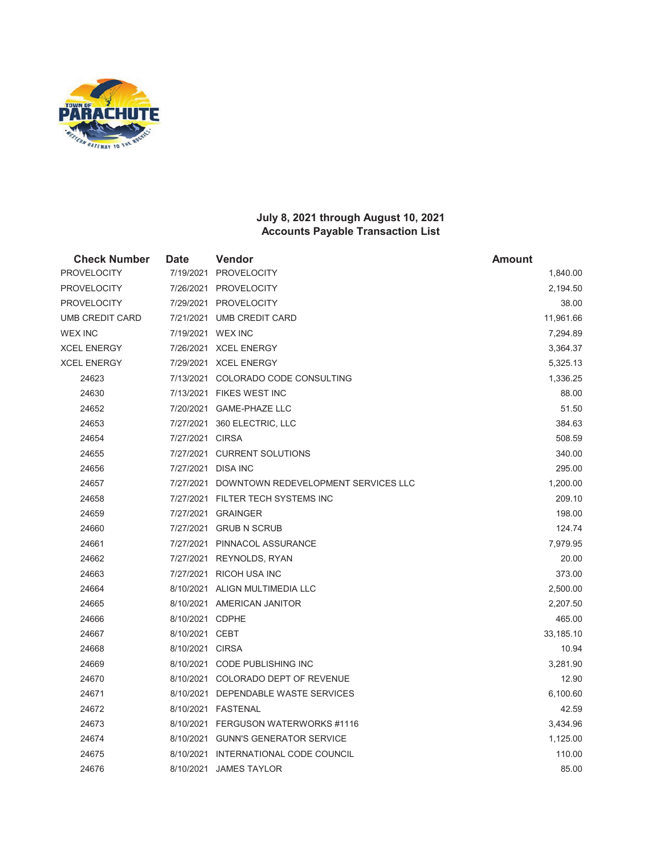

| <b>Check Number</b> | <b>Date</b>     | <b>Vendor</b>                                 | <b>Amount</b> |
|---------------------|-----------------|-----------------------------------------------|---------------|
| <b>PROVELOCITY</b>  |                 | 7/19/2021 PROVELOCITY                         | 1,840.00      |
| <b>PROVELOCITY</b>  |                 | 7/26/2021 PROVELOCITY                         | 2,194.50      |
| <b>PROVELOCITY</b>  |                 | 7/29/2021 PROVELOCITY                         | 38.00         |
| UMB CREDIT CARD     |                 | 7/21/2021 UMB CREDIT CARD                     | 11,961.66     |
| <b>WEX INC</b>      |                 | 7/19/2021 WEX INC                             | 7,294.89      |
| <b>XCEL ENERGY</b>  |                 | 7/26/2021 XCEL ENERGY                         | 3,364.37      |
| XCEL ENERGY         |                 | 7/29/2021 XCEL ENERGY                         | 5,325.13      |
| 24623               |                 | 7/13/2021 COLORADO CODE CONSULTING            | 1,336.25      |
| 24630               |                 | 7/13/2021 FIKES WEST INC                      | 88.00         |
| 24652               |                 | 7/20/2021 GAME-PHAZE LLC                      | 51.50         |
| 24653               |                 | 7/27/2021 360 ELECTRIC, LLC                   | 384.63        |
| 24654               | 7/27/2021 CIRSA |                                               | 508.59        |
| 24655               |                 | 7/27/2021 CURRENT SOLUTIONS                   | 340.00        |
| 24656               |                 | 7/27/2021 DISA INC                            | 295.00        |
| 24657               |                 | 7/27/2021 DOWNTOWN REDEVELOPMENT SERVICES LLC | 1,200.00      |
| 24658               |                 | 7/27/2021 FILTER TECH SYSTEMS INC             | 209.10        |
| 24659               |                 | 7/27/2021 GRAINGER                            | 198.00        |
| 24660               |                 | 7/27/2021 GRUB N SCRUB                        | 124.74        |
| 24661               |                 | 7/27/2021 PINNACOL ASSURANCE                  | 7,979.95      |
| 24662               |                 | 7/27/2021 REYNOLDS, RYAN                      | 20.00         |
| 24663               |                 | 7/27/2021 RICOH USA INC                       | 373.00        |
| 24664               |                 | 8/10/2021 ALIGN MULTIMEDIA LLC                | 2,500.00      |
| 24665               |                 | 8/10/2021 AMERICAN JANITOR                    | 2,207.50      |
| 24666               | 8/10/2021 CDPHE |                                               | 465.00        |
| 24667               | 8/10/2021 CEBT  |                                               | 33,185.10     |
| 24668               | 8/10/2021 CIRSA |                                               | 10.94         |
| 24669               |                 | 8/10/2021 CODE PUBLISHING INC                 | 3,281.90      |
| 24670               |                 | 8/10/2021 COLORADO DEPT OF REVENUE            | 12.90         |
| 24671               |                 | 8/10/2021 DEPENDABLE WASTE SERVICES           | 6,100.60      |
| 24672               |                 | 8/10/2021 FASTENAL                            | 42.59         |
| 24673               |                 | 8/10/2021 FERGUSON WATERWORKS #1116           | 3,434.96      |
| 24674               |                 | 8/10/2021 GUNN'S GENERATOR SERVICE            | 1,125.00      |
| 24675               |                 | 8/10/2021 INTERNATIONAL CODE COUNCIL          | 110.00        |
| 24676               |                 | 8/10/2021 JAMES TAYLOR                        | 85.00         |